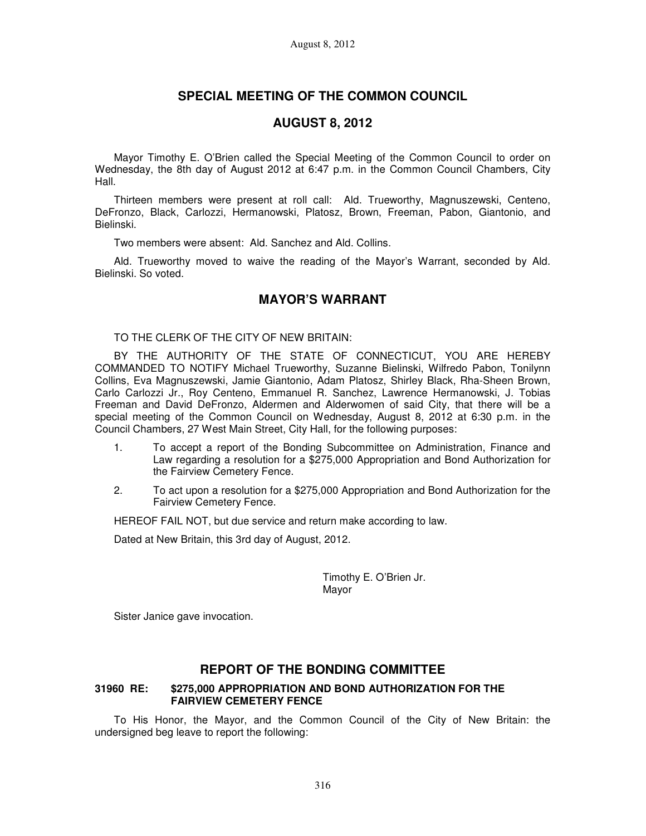# **SPECIAL MEETING OF THE COMMON COUNCIL**

## **AUGUST 8, 2012**

Mayor Timothy E. O'Brien called the Special Meeting of the Common Council to order on Wednesday, the 8th day of August 2012 at 6:47 p.m. in the Common Council Chambers, City Hall.

Thirteen members were present at roll call: Ald. Trueworthy, Magnuszewski, Centeno, DeFronzo, Black, Carlozzi, Hermanowski, Platosz, Brown, Freeman, Pabon, Giantonio, and Bielinski.

Two members were absent: Ald. Sanchez and Ald. Collins.

Ald. Trueworthy moved to waive the reading of the Mayor's Warrant, seconded by Ald. Bielinski. So voted.

## **MAYOR'S WARRANT**

TO THE CLERK OF THE CITY OF NEW BRITAIN:

BY THE AUTHORITY OF THE STATE OF CONNECTICUT, YOU ARE HEREBY COMMANDED TO NOTIFY Michael Trueworthy, Suzanne Bielinski, Wilfredo Pabon, Tonilynn Collins, Eva Magnuszewski, Jamie Giantonio, Adam Platosz, Shirley Black, Rha-Sheen Brown, Carlo Carlozzi Jr., Roy Centeno, Emmanuel R. Sanchez, Lawrence Hermanowski, J. Tobias Freeman and David DeFronzo, Aldermen and Alderwomen of said City, that there will be a special meeting of the Common Council on Wednesday, August 8, 2012 at 6:30 p.m. in the Council Chambers, 27 West Main Street, City Hall, for the following purposes:

- 1. To accept a report of the Bonding Subcommittee on Administration, Finance and Law regarding a resolution for a \$275,000 Appropriation and Bond Authorization for the Fairview Cemetery Fence.
- 2. To act upon a resolution for a \$275,000 Appropriation and Bond Authorization for the Fairview Cemetery Fence.

HEREOF FAIL NOT, but due service and return make according to law.

Dated at New Britain, this 3rd day of August, 2012.

Timothy E. O'Brien Jr. Mayor

Sister Janice gave invocation.

## **REPORT OF THE BONDING COMMITTEE**

#### **31960 RE: \$275,000 APPROPRIATION AND BOND AUTHORIZATION FOR THE FAIRVIEW CEMETERY FENCE**

To His Honor, the Mayor, and the Common Council of the City of New Britain: the undersigned beg leave to report the following: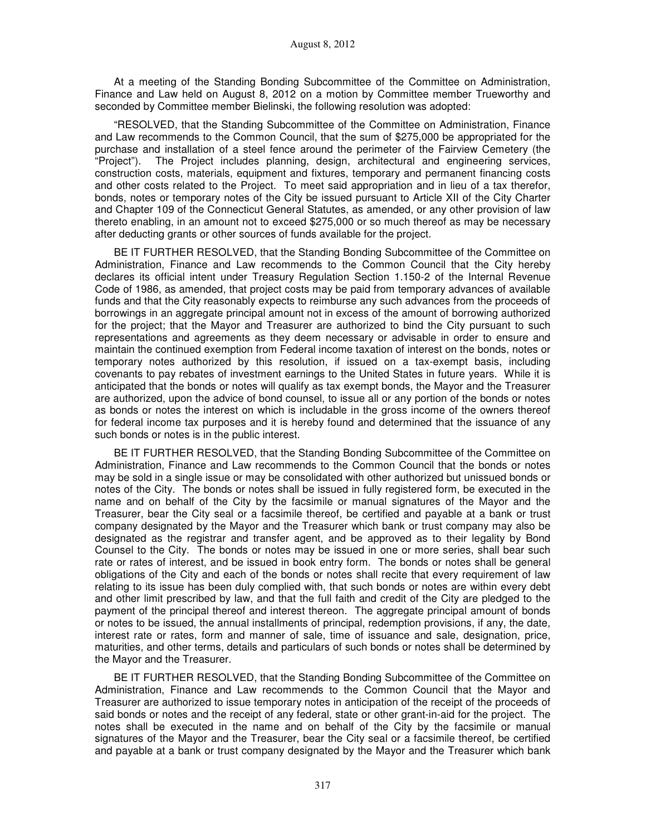At a meeting of the Standing Bonding Subcommittee of the Committee on Administration, Finance and Law held on August 8, 2012 on a motion by Committee member Trueworthy and seconded by Committee member Bielinski, the following resolution was adopted:

"RESOLVED, that the Standing Subcommittee of the Committee on Administration, Finance and Law recommends to the Common Council, that the sum of \$275,000 be appropriated for the purchase and installation of a steel fence around the perimeter of the Fairview Cemetery (the "Project"). The Project includes planning, design, architectural and engineering services, construction costs, materials, equipment and fixtures, temporary and permanent financing costs and other costs related to the Project. To meet said appropriation and in lieu of a tax therefor, bonds, notes or temporary notes of the City be issued pursuant to Article XII of the City Charter and Chapter 109 of the Connecticut General Statutes, as amended, or any other provision of law thereto enabling, in an amount not to exceed \$275,000 or so much thereof as may be necessary after deducting grants or other sources of funds available for the project.

BE IT FURTHER RESOLVED, that the Standing Bonding Subcommittee of the Committee on Administration, Finance and Law recommends to the Common Council that the City hereby declares its official intent under Treasury Regulation Section 1.150-2 of the Internal Revenue Code of 1986, as amended, that project costs may be paid from temporary advances of available funds and that the City reasonably expects to reimburse any such advances from the proceeds of borrowings in an aggregate principal amount not in excess of the amount of borrowing authorized for the project; that the Mayor and Treasurer are authorized to bind the City pursuant to such representations and agreements as they deem necessary or advisable in order to ensure and maintain the continued exemption from Federal income taxation of interest on the bonds, notes or temporary notes authorized by this resolution, if issued on a tax-exempt basis, including covenants to pay rebates of investment earnings to the United States in future years. While it is anticipated that the bonds or notes will qualify as tax exempt bonds, the Mayor and the Treasurer are authorized, upon the advice of bond counsel, to issue all or any portion of the bonds or notes as bonds or notes the interest on which is includable in the gross income of the owners thereof for federal income tax purposes and it is hereby found and determined that the issuance of any such bonds or notes is in the public interest.

BE IT FURTHER RESOLVED, that the Standing Bonding Subcommittee of the Committee on Administration, Finance and Law recommends to the Common Council that the bonds or notes may be sold in a single issue or may be consolidated with other authorized but unissued bonds or notes of the City. The bonds or notes shall be issued in fully registered form, be executed in the name and on behalf of the City by the facsimile or manual signatures of the Mayor and the Treasurer, bear the City seal or a facsimile thereof, be certified and payable at a bank or trust company designated by the Mayor and the Treasurer which bank or trust company may also be designated as the registrar and transfer agent, and be approved as to their legality by Bond Counsel to the City. The bonds or notes may be issued in one or more series, shall bear such rate or rates of interest, and be issued in book entry form. The bonds or notes shall be general obligations of the City and each of the bonds or notes shall recite that every requirement of law relating to its issue has been duly complied with, that such bonds or notes are within every debt and other limit prescribed by law, and that the full faith and credit of the City are pledged to the payment of the principal thereof and interest thereon. The aggregate principal amount of bonds or notes to be issued, the annual installments of principal, redemption provisions, if any, the date, interest rate or rates, form and manner of sale, time of issuance and sale, designation, price, maturities, and other terms, details and particulars of such bonds or notes shall be determined by the Mayor and the Treasurer.

BE IT FURTHER RESOLVED, that the Standing Bonding Subcommittee of the Committee on Administration, Finance and Law recommends to the Common Council that the Mayor and Treasurer are authorized to issue temporary notes in anticipation of the receipt of the proceeds of said bonds or notes and the receipt of any federal, state or other grant-in-aid for the project. The notes shall be executed in the name and on behalf of the City by the facsimile or manual signatures of the Mayor and the Treasurer, bear the City seal or a facsimile thereof, be certified and payable at a bank or trust company designated by the Mayor and the Treasurer which bank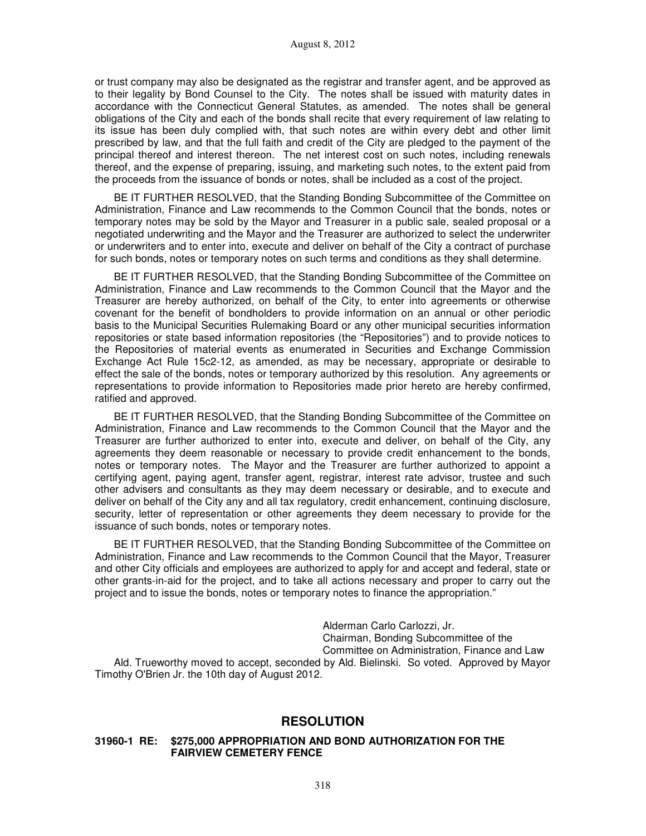or trust company may also be designated as the registrar and transfer agent, and be approved as to their legality by Bond Counsel to the City. The notes shall be issued with maturity dates in accordance with the Connecticut General Statutes, as amended. The notes shall be general obligations of the City and each of the bonds shall recite that every requirement of law relating to its issue has been duly complied with, that such notes are within every debt and other limit prescribed by law, and that the full faith and credit of the City are pledged to the payment of the principal thereof and interest thereon. The net interest cost on such notes, including renewals thereof, and the expense of preparing, issuing, and marketing such notes, to the extent paid from the proceeds from the issuance of bonds or notes, shall be included as a cost of the project.

BE IT FURTHER RESOLVED, that the Standing Bonding Subcommittee of the Committee on Administration, Finance and Law recommends to the Common Council that the bonds, notes or temporary notes may be sold by the Mayor and Treasurer in a public sale, sealed proposal or a negotiated underwriting and the Mayor and the Treasurer are authorized to select the underwriter or underwriters and to enter into, execute and deliver on behalf of the City a contract of purchase for such bonds, notes or temporary notes on such terms and conditions as they shall determine.

BE IT FURTHER RESOLVED, that the Standing Bonding Subcommittee of the Committee on Administration, Finance and Law recommends to the Common Council that the Mayor and the Treasurer are hereby authorized, on behalf of the City, to enter into agreements or otherwise covenant for the benefit of bondholders to provide information on an annual or other periodic basis to the Municipal Securities Rulemaking Board or any other municipal securities information repositories or state based information repositories (the "Repositories") and to provide notices to the Repositories of material events as enumerated in Securities and Exchange Commission Exchange Act Rule 15c2-12, as amended, as may be necessary, appropriate or desirable to effect the sale of the bonds, notes or temporary authorized by this resolution. Any agreements or representations to provide information to Repositories made prior hereto are hereby confirmed, ratified and approved.

BE IT FURTHER RESOLVED, that the Standing Bonding Subcommittee of the Committee on Administration, Finance and Law recommends to the Common Council that the Mayor and the Treasurer are further authorized to enter into, execute and deliver, on behalf of the City, any agreements they deem reasonable or necessary to provide credit enhancement to the bonds, notes or temporary notes. The Mayor and the Treasurer are further authorized to appoint a certifying agent, paying agent, transfer agent, registrar, interest rate advisor, trustee and such other advisers and consultants as they may deem necessary or desirable, and to execute and deliver on behalf of the City any and all tax regulatory, credit enhancement, continuing disclosure, security, letter of representation or other agreements they deem necessary to provide for the issuance of such bonds, notes or temporary notes.

BE IT FURTHER RESOLVED, that the Standing Bonding Subcommittee of the Committee on Administration, Finance and Law recommends to the Common Council that the Mayor, Treasurer and other City officials and employees are authorized to apply for and accept and federal, state or other grants-in-aid for the project, and to take all actions necessary and proper to carry out the project and to issue the bonds, notes or temporary notes to finance the appropriation."

> Alderman Carlo Carlozzi, Jr. Chairman, Bonding Subcommittee of the Committee on Administration, Finance and Law

Ald. Trueworthy moved to accept, seconded by Ald. Bielinski. So voted. Approved by Mayor Timothy O'Brien Jr. the 10th day of August 2012.

#### **RESOLUTION**

#### **31960-1 RE: \$275,000 APPROPRIATION AND BOND AUTHORIZATION FOR THE FAIRVIEW CEMETERY FENCE**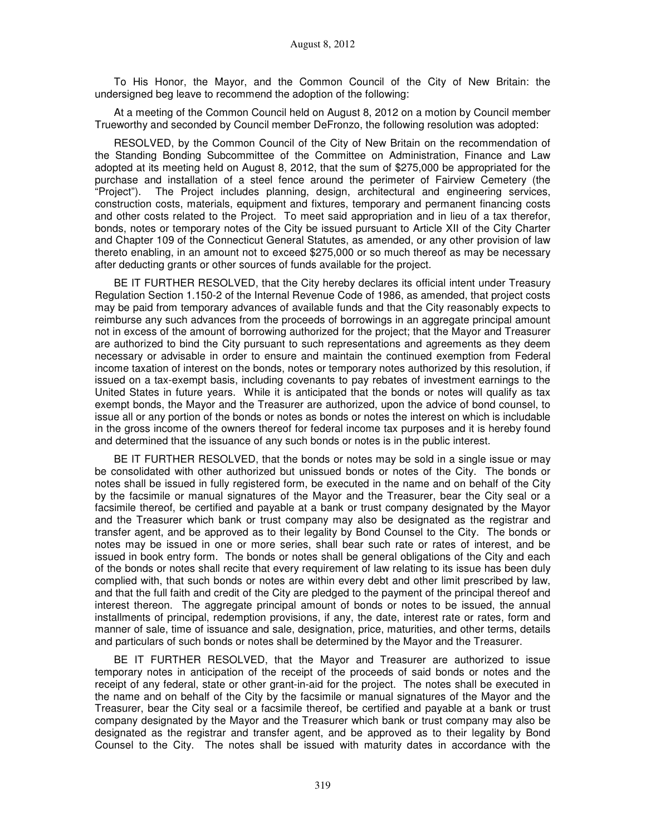To His Honor, the Mayor, and the Common Council of the City of New Britain: the undersigned beg leave to recommend the adoption of the following:

At a meeting of the Common Council held on August 8, 2012 on a motion by Council member Trueworthy and seconded by Council member DeFronzo, the following resolution was adopted:

RESOLVED, by the Common Council of the City of New Britain on the recommendation of the Standing Bonding Subcommittee of the Committee on Administration, Finance and Law adopted at its meeting held on August 8, 2012, that the sum of \$275,000 be appropriated for the purchase and installation of a steel fence around the perimeter of Fairview Cemetery (the "Project"). The Project includes planning, design, architectural and engineering services, construction costs, materials, equipment and fixtures, temporary and permanent financing costs and other costs related to the Project. To meet said appropriation and in lieu of a tax therefor, bonds, notes or temporary notes of the City be issued pursuant to Article XII of the City Charter and Chapter 109 of the Connecticut General Statutes, as amended, or any other provision of law thereto enabling, in an amount not to exceed \$275,000 or so much thereof as may be necessary after deducting grants or other sources of funds available for the project.

BE IT FURTHER RESOLVED, that the City hereby declares its official intent under Treasury Regulation Section 1.150-2 of the Internal Revenue Code of 1986, as amended, that project costs may be paid from temporary advances of available funds and that the City reasonably expects to reimburse any such advances from the proceeds of borrowings in an aggregate principal amount not in excess of the amount of borrowing authorized for the project; that the Mayor and Treasurer are authorized to bind the City pursuant to such representations and agreements as they deem necessary or advisable in order to ensure and maintain the continued exemption from Federal income taxation of interest on the bonds, notes or temporary notes authorized by this resolution, if issued on a tax-exempt basis, including covenants to pay rebates of investment earnings to the United States in future years. While it is anticipated that the bonds or notes will qualify as tax exempt bonds, the Mayor and the Treasurer are authorized, upon the advice of bond counsel, to issue all or any portion of the bonds or notes as bonds or notes the interest on which is includable in the gross income of the owners thereof for federal income tax purposes and it is hereby found and determined that the issuance of any such bonds or notes is in the public interest.

BE IT FURTHER RESOLVED, that the bonds or notes may be sold in a single issue or may be consolidated with other authorized but unissued bonds or notes of the City. The bonds or notes shall be issued in fully registered form, be executed in the name and on behalf of the City by the facsimile or manual signatures of the Mayor and the Treasurer, bear the City seal or a facsimile thereof, be certified and payable at a bank or trust company designated by the Mayor and the Treasurer which bank or trust company may also be designated as the registrar and transfer agent, and be approved as to their legality by Bond Counsel to the City. The bonds or notes may be issued in one or more series, shall bear such rate or rates of interest, and be issued in book entry form. The bonds or notes shall be general obligations of the City and each of the bonds or notes shall recite that every requirement of law relating to its issue has been duly complied with, that such bonds or notes are within every debt and other limit prescribed by law, and that the full faith and credit of the City are pledged to the payment of the principal thereof and interest thereon. The aggregate principal amount of bonds or notes to be issued, the annual installments of principal, redemption provisions, if any, the date, interest rate or rates, form and manner of sale, time of issuance and sale, designation, price, maturities, and other terms, details and particulars of such bonds or notes shall be determined by the Mayor and the Treasurer.

BE IT FURTHER RESOLVED, that the Mayor and Treasurer are authorized to issue temporary notes in anticipation of the receipt of the proceeds of said bonds or notes and the receipt of any federal, state or other grant-in-aid for the project. The notes shall be executed in the name and on behalf of the City by the facsimile or manual signatures of the Mayor and the Treasurer, bear the City seal or a facsimile thereof, be certified and payable at a bank or trust company designated by the Mayor and the Treasurer which bank or trust company may also be designated as the registrar and transfer agent, and be approved as to their legality by Bond Counsel to the City. The notes shall be issued with maturity dates in accordance with the